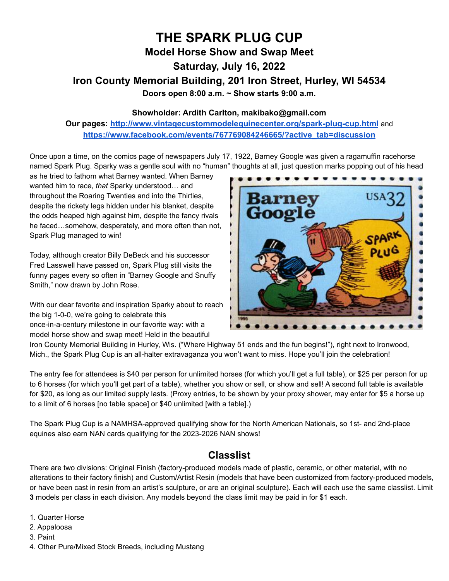# **THE SPARK PLUG CUP Model Horse Show and Swap Meet Saturday, July 16, 2022 Iron County Memorial Building, 201 Iron Street, Hurley, WI 54534 Doors open 8:00 a.m. ~ Show starts 9:00 a.m.**

#### **Showholder: Ardith Carlton, makibako@gmail.com**

**Our pages: <http://www.vintagecustommodelequinecenter.org/spark-plug-cup.html>** and **[https://www.facebook.com/events/767769084246665/?active\\_tab=discussion](https://www.facebook.com/events/767769084246665/?active_tab=discussion)**

Once upon a time, on the comics page of newspapers July 17, 1922, Barney Google was given a ragamuffin racehorse named Spark Plug. Sparky was a gentle soul with no "human" thoughts at all, just question marks popping out of his head

as he tried to fathom what Barney wanted. When Barney wanted him to race, *that* Sparky understood… and throughout the Roaring Twenties and into the Thirties, despite the rickety legs hidden under his blanket, despite the odds heaped high against him, despite the fancy rivals he faced…somehow, desperately, and more often than not, Spark Plug managed to win!

Today, although creator Billy DeBeck and his successor Fred Lasswell have passed on, Spark Plug still visits the funny pages every so often in "Barney Google and Snuffy Smith," now drawn by John Rose.

With our dear favorite and inspiration Sparky about to reach the big 1-0-0, we're going to celebrate this once-in-a-century milestone in our favorite way: with a model horse show and swap meet! Held in the beautiful



Iron County Memorial Building in Hurley, Wis. ("Where Highway 51 ends and the fun begins!"), right next to Ironwood, Mich., the Spark Plug Cup is an all-halter extravaganza you won't want to miss. Hope you'll join the celebration!

The entry fee for attendees is \$40 per person for unlimited horses (for which you'll get a full table), or \$25 per person for up to 6 horses (for which you'll get part of a table), whether you show or sell, or show and sell! A second full table is available for \$20, as long as our limited supply lasts. (Proxy entries, to be shown by your proxy shower, may enter for \$5 a horse up to a limit of 6 horses [no table space] or \$40 unlimited [with a table].)

The Spark Plug Cup is a NAMHSA-approved qualifying show for the North American Nationals, so 1st- and 2nd-place equines also earn NAN cards qualifying for the 2023-2026 NAN shows!

### **Classlist**

There are two divisions: Original Finish (factory-produced models made of plastic, ceramic, or other material, with no alterations to their factory finish) and Custom/Artist Resin (models that have been customized from factory-produced models, or have been cast in resin from an artist's sculpture, or are an original sculpture). Each will each use the same classlist. Limit **3** models per class in each division. Any models beyond the class limit may be paid in for \$1 each.

- 1. Quarter Horse
- 2. Appaloosa
- 3. Paint
- 4. Other Pure/Mixed Stock Breeds, including Mustang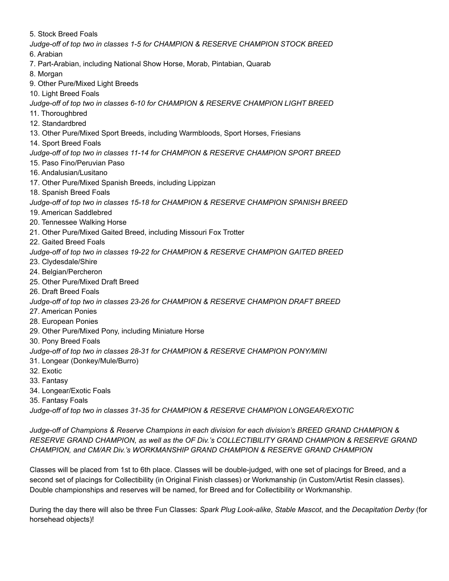5. Stock Breed Foals *Judge-off of top two in classes 1-5 for CHAMPION & RESERVE CHAMPION STOCK BREED* 6. Arabian 7. Part-Arabian, including National Show Horse, Morab, Pintabian, Quarab 8. Morgan 9. Other Pure/Mixed Light Breeds 10. Light Breed Foals *Judge-off of top two in classes 6-10 for CHAMPION & RESERVE CHAMPION LIGHT BREED* 11. Thoroughbred 12. Standardbred 13. Other Pure/Mixed Sport Breeds, including Warmbloods, Sport Horses, Friesians 14. Sport Breed Foals *Judge-off of top two in classes 11-14 for CHAMPION & RESERVE CHAMPION SPORT BREED* 15. Paso Fino/Peruvian Paso 16. Andalusian/Lusitano 17. Other Pure/Mixed Spanish Breeds, including Lippizan 18. Spanish Breed Foals *Judge-off of top two in classes 15-18 for CHAMPION & RESERVE CHAMPION SPANISH BREED* 19. American Saddlebred 20. Tennessee Walking Horse 21. Other Pure/Mixed Gaited Breed, including Missouri Fox Trotter 22. Gaited Breed Foals *Judge-off of top two in classes 19-22 for CHAMPION & RESERVE CHAMPION GAITED BREED* 23. Clydesdale/Shire 24. Belgian/Percheron 25. Other Pure/Mixed Draft Breed 26. Draft Breed Foals *Judge-off of top two in classes 23-26 for CHAMPION & RESERVE CHAMPION DRAFT BREED* 27. American Ponies 28. European Ponies 29. Other Pure/Mixed Pony, including Miniature Horse 30. Pony Breed Foals *Judge-off of top two in classes 28-31 for CHAMPION & RESERVE CHAMPION PONY/MINI* 31. Longear (Donkey/Mule/Burro) 32. Exotic 33. Fantasy 34. Longear/Exotic Foals 35. Fantasy Foals

*Judge-off of top two in classes 31-35 for CHAMPION & RESERVE CHAMPION LONGEAR/EXOTIC*

*Judge-off of Champions & Reserve Champions in each division for each division's BREED GRAND CHAMPION & RESERVE GRAND CHAMPION, as well as the OF Div.'s COLLECTIBILITY GRAND CHAMPION & RESERVE GRAND CHAMPION, and CM/AR Div.'s WORKMANSHIP GRAND CHAMPION & RESERVE GRAND CHAMPION*

Classes will be placed from 1st to 6th place. Classes will be double-judged, with one set of placings for Breed, and a second set of placings for Collectibility (in Original Finish classes) or Workmanship (in Custom/Artist Resin classes). Double championships and reserves will be named, for Breed and for Collectibility or Workmanship.

During the day there will also be three Fun Classes: *Spark Plug Look-alike*, *Stable Mascot*, and the *Decapitation Derby* (for horsehead objects)!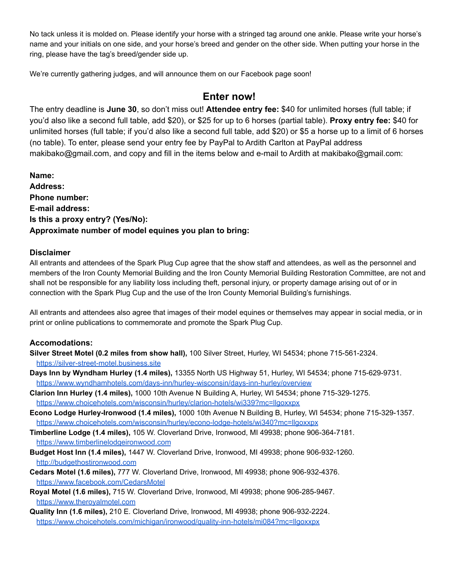No tack unless it is molded on. Please identify your horse with a stringed tag around one ankle. Please write your horse's name and your initials on one side, and your horse's breed and gender on the other side. When putting your horse in the ring, please have the tag's breed/gender side up.

We're currently gathering judges, and will announce them on our Facebook page soon!

# **Enter now!**

The entry deadline is **June 30**, so don't miss out! **Attendee entry fee:** \$40 for unlimited horses (full table; if you'd also like a second full table, add \$20), or \$25 for up to 6 horses (partial table). **Proxy entry fee:** \$40 for unlimited horses (full table; if you'd also like a second full table, add \$20) or \$5 a horse up to a limit of 6 horses (no table). To enter, please send your entry fee by PayPal to Ardith Carlton at PayPal address makibako@gmail.com, and copy and fill in the items below and e-mail to Ardith at makibako@gmail.com:

**Name: Address: Phone number: E-mail address: Is this a proxy entry? (Yes/No): Approximate number of model equines you plan to bring:**

#### **Disclaimer**

All entrants and attendees of the Spark Plug Cup agree that the show staff and attendees, as well as the personnel and members of the Iron County Memorial Building and the Iron County Memorial Building Restoration Committee, are not and shall not be responsible for any liability loss including theft, personal injury, or property damage arising out of or in connection with the Spark Plug Cup and the use of the Iron County Memorial Building's furnishings.

All entrants and attendees also agree that images of their model equines or themselves may appear in social media, or in print or online publications to commemorate and promote the Spark Plug Cup.

#### **Accomodations:**

- **Silver Street Motel (0.2 miles from show hall),** 100 Silver Street, Hurley, WI 54534; phone 715-561-2324. <https://silver-street-motel.business.site>
- **Days Inn by Wyndham Hurley (1.4 miles),** 13355 North US Highway 51, Hurley, WI 54534; phone 715-629-9731. <https://www.wyndhamhotels.com/days-inn/hurley-wisconsin/days-inn-hurley/overview>
- **Clarion Inn Hurley (1.4 miles),** 1000 10th Avenue N Building A, Hurley, WI 54534; phone 715-329-1275. <https://www.choicehotels.com/wisconsin/hurley/clarion-hotels/wi339?mc=llgoxxpx>
- **Econo Lodge Hurley-Ironwood (1.4 miles),** 1000 10th Avenue N Building B, Hurley, WI 54534; phone 715-329-1357. <https://www.choicehotels.com/wisconsin/hurley/econo-lodge-hotels/wi340?mc=llgoxxpx>
- **Timberline Lodge (1.4 miles),** 105 W. Cloverland Drive, Ironwood, MI 49938; phone 906-364-7181. <https://www.timberlinelodgeironwood.com>
- **Budget Host Inn (1.4 miles),** 1447 W. Cloverland Drive, Ironwood, MI 49938; phone 906-932-1260. <http://budgethostironwood.com>
- **Cedars Motel (1.6 miles),** 777 W. Cloverland Drive, Ironwood, MI 49938; phone 906-932-4376. <https://www.facebook.com/CedarsMotel>
- **Royal Motel (1.6 miles),** 715 W. Cloverland Drive, Ironwood, MI 49938; phone 906-285-9467. <https://www.theroyalmotel.com>
- **Quality Inn (1.6 miles),** 210 E. Cloverland Drive, Ironwood, MI 49938; phone 906-932-2224. <https://www.choicehotels.com/michigan/ironwood/quality-inn-hotels/mi084?mc=llgoxxpx>